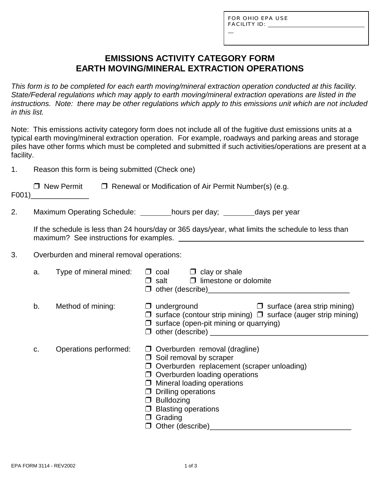L

# **EMISSIONS ACTIVITY CATEGORY FORM EARTH MOVING/MINERAL EXTRACTION OPERATIONS**

*This form is to be completed for each earth moving/mineral extraction operation conducted at this facility. State/Federal regulations which may apply to earth moving/mineral extraction operations are listed in the instructions. Note: there may be other regulations which apply to this emissions unit which are not included in this list.*

Note: This emissions activity category form does not include all of the fugitive dust emissions units at a typical earth moving/mineral extraction operation. For example, roadways and parking areas and storage piles have other forms which must be completed and submitted if such activities/operations are present at a facility.

1. Reason this form is being submitted (Check one)

| $\Box$ New Permit | $\Box$ Renewal or Modification of Air Permit Number(s) (e.g. |
|-------------------|--------------------------------------------------------------|
| F001)             |                                                              |

2. Maximum Operating Schedule: hours per day; hours per days per year

|                                         | If the schedule is less than 24 hours/day or 365 days/year, what limits the schedule to less than |
|-----------------------------------------|---------------------------------------------------------------------------------------------------|
| maximum? See instructions for examples. |                                                                                                   |

#### 3. Overburden and mineral removal operations:

| a. | Type of mineral mined: | $\Box$ coal $\Box$ clay or shale<br>$\Box$ salt $\Box$ limestone or dolomite<br>$\Box$ other (describe) $\Box$                                                                                                                                                                                                                         |
|----|------------------------|----------------------------------------------------------------------------------------------------------------------------------------------------------------------------------------------------------------------------------------------------------------------------------------------------------------------------------------|
| b. | Method of mining:      | $\Box$ underground<br>$\Box$ surface (area strip mining)<br>$\Box$ surface (contour strip mining) $\Box$ surface (auger strip mining)<br>$\Box$ surface (open-pit mining or quarrying)<br>$\Box$ other (describe) _____                                                                                                                |
| C. | Operations performed:  | $\Box$ Overburden removal (dragline)<br>$\Box$ Soil removal by scraper<br>$\Box$ Overburden replacement (scraper unloading)<br>$\Box$ Overburden loading operations<br>$\Box$ Mineral loading operations<br>$\Box$ Drilling operations<br>$\Box$ Bulldozing<br>$\Box$ Blasting operations<br>$\Box$ Grading<br>$\Box$ Other (describe) |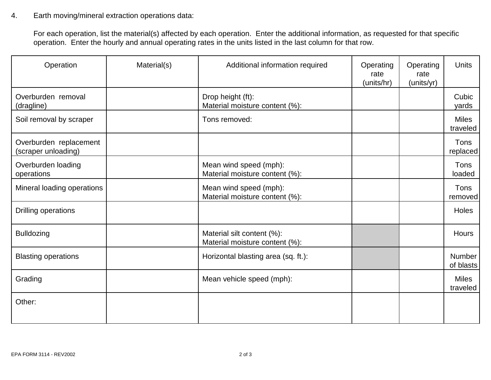#### 4. Earth moving/mineral extraction operations data:

For each operation, list the material(s) affected by each operation. Enter the additional information, as requested for that specific operation. Enter the hourly and annual operating rates in the units listed in the last column for that row.

| Operation                                     | Material(s) | Additional information required                              | Operating<br>rate<br>(units/hr) | Operating<br>rate<br>(units/yr) | <b>Units</b>             |
|-----------------------------------------------|-------------|--------------------------------------------------------------|---------------------------------|---------------------------------|--------------------------|
| Overburden removal<br>(dragline)              |             | Drop height (ft):<br>Material moisture content (%):          |                                 |                                 | Cubic<br>yards           |
| Soil removal by scraper                       |             | Tons removed:                                                |                                 |                                 | <b>Miles</b><br>traveled |
| Overburden replacement<br>(scraper unloading) |             |                                                              |                                 |                                 | Tons<br>replaced         |
| Overburden loading<br>operations              |             | Mean wind speed (mph):<br>Material moisture content (%):     |                                 |                                 | Tons<br>loaded           |
| Mineral loading operations                    |             | Mean wind speed (mph):<br>Material moisture content (%):     |                                 |                                 | Tons<br>removed          |
| Drilling operations                           |             |                                                              |                                 |                                 | <b>Holes</b>             |
| <b>Bulldozing</b>                             |             | Material silt content (%):<br>Material moisture content (%): |                                 |                                 | <b>Hours</b>             |
| <b>Blasting operations</b>                    |             | Horizontal blasting area (sq. ft.):                          |                                 |                                 | Number<br>of blasts      |
| Grading                                       |             | Mean vehicle speed (mph):                                    |                                 |                                 | <b>Miles</b><br>traveled |
| Other:                                        |             |                                                              |                                 |                                 |                          |
|                                               |             |                                                              |                                 |                                 |                          |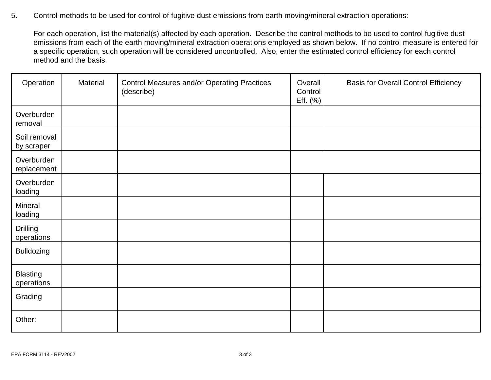5. Control methods to be used for control of fugitive dust emissions from earth moving/mineral extraction operations:

For each operation, list the material(s) affected by each operation. Describe the control methods to be used to control fugitive dust emissions from each of the earth moving/mineral extraction operations employed as shown below. If no control measure is entered for a specific operation, such operation will be considered uncontrolled. Also, enter the estimated control efficiency for each control method and the basis.

| Operation                     | Material | <b>Control Measures and/or Operating Practices</b><br>(describe) | Overall<br>Control<br>Eff. (%) | <b>Basis for Overall Control Efficiency</b> |
|-------------------------------|----------|------------------------------------------------------------------|--------------------------------|---------------------------------------------|
| Overburden<br>removal         |          |                                                                  |                                |                                             |
| Soil removal<br>by scraper    |          |                                                                  |                                |                                             |
| Overburden<br>replacement     |          |                                                                  |                                |                                             |
| Overburden<br>loading         |          |                                                                  |                                |                                             |
| Mineral<br>loading            |          |                                                                  |                                |                                             |
| <b>Drilling</b><br>operations |          |                                                                  |                                |                                             |
| <b>Bulldozing</b>             |          |                                                                  |                                |                                             |
| <b>Blasting</b><br>operations |          |                                                                  |                                |                                             |
| Grading                       |          |                                                                  |                                |                                             |
| Other:                        |          |                                                                  |                                |                                             |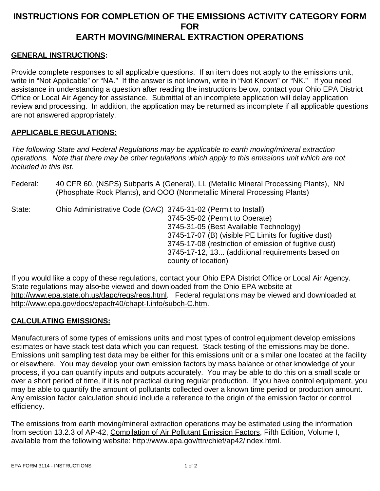# **INSTRUCTIONS FOR COMPLETION OF THE EMISSIONS ACTIVITY CATEGORY FORM FOR EARTH MOVING/MINERAL EXTRACTION OPERATIONS**

### **GENERAL INSTRUCTIONS:**

Provide complete responses to all applicable questions. If an item does not apply to the emissions unit, write in "Not Applicable" or "NA." If the answer is not known, write in "Not Known" or "NK." If you need assistance in understanding a question after reading the instructions below, contact your Ohio EPA District Office or Local Air Agency for assistance. Submittal of an incomplete application will delay application review and processing. In addition, the application may be returned as incomplete if all applicable questions are not answered appropriately.

#### **APPLICABLE REGULATIONS:**

*The following State and Federal Regulations may be applicable to earth moving/mineral extraction operations. Note that there may be other regulations which apply to this emissions unit which are not included in this list.*

Federal: 40 CFR 60, (NSPS) Subparts A (General), LL (Metallic Mineral Processing Plants), NN (Phosphate Rock Plants), and OOO (Nonmetallic Mineral Processing Plants)

| State: | Ohio Administrative Code (OAC) 3745-31-02 (Permit to Install) |                                                       |
|--------|---------------------------------------------------------------|-------------------------------------------------------|
|        |                                                               | 3745-35-02 (Permit to Operate)                        |
|        |                                                               | 3745-31-05 (Best Available Technology)                |
|        |                                                               | 3745-17-07 (B) (visible PE Limits for fugitive dust)  |
|        |                                                               | 3745-17-08 (restriction of emission of fugitive dust) |
|        |                                                               | 3745-17-12, 13 (additional requirements based on      |
|        |                                                               | county of location)                                   |

If you would like a copy of these regulations, contact your Ohio EPA District Office or Local Air Agency. State regulations may also-be viewed and downloaded from the Ohio EPA website at http://www.epa.state.oh.us/dapc/regs/regs.html. Federal regulations may be viewed and downloaded at http://www.epa.gov/docs/epacfr40/chapt-I.info/subch-C.htm.

# **CALCULATING EMISSIONS:**

Manufacturers of some types of emissions units and most types of control equipment develop emissions estimates or have stack test data which you can request. Stack testing of the emissions may be done. Emissions unit sampling test data may be either for this emissions unit or a similar one located at the facility or elsewhere. You may develop your own emission factors by mass balance or other knowledge of your process, if you can quantify inputs and outputs accurately. You may be able to do this on a small scale or over a short period of time, if it is not practical during regular production. If you have control equipment, you may be able to quantify the amount of pollutants collected over a known time period or production amount. Any emission factor calculation should include a reference to the origin of the emission factor or control efficiency.

The emissions from earth moving/mineral extraction operations may be estimated using the information from section 13.2.3 of AP-42, Compilation of Air Pollutant Emission Factors, Fifth Edition, Volume I, available from the following website: http://www.epa.gov/ttn/chief/ap42/index.html.